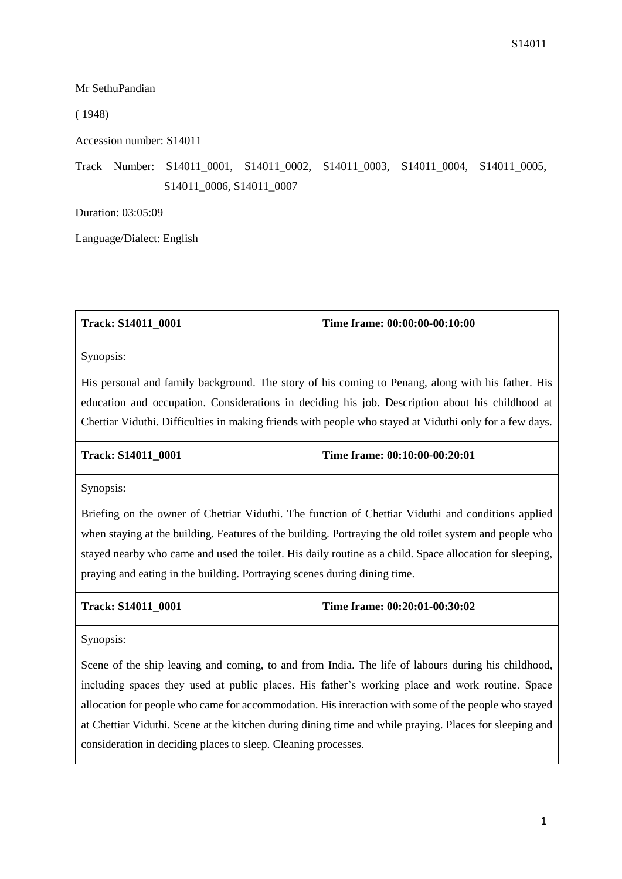Mr SethuPandian

( 1948)

Accession number: S14011

Track Number: S14011\_0001, S14011\_0002, S14011\_0003, S14011\_0004, S14011\_0005, S14011\_0006, S14011\_0007

Duration: 03:05:09

Language/Dialect: English

| Track: S14011 0001 | Time frame: 00:00:00-00:10:00 |
|--------------------|-------------------------------|
|                    |                               |

Synopsis:

His personal and family background. The story of his coming to Penang, along with his father. His education and occupation. Considerations in deciding his job. Description about his childhood at Chettiar Viduthi. Difficulties in making friends with people who stayed at Viduthi only for a few days.

| <b>Track: S14011 0001</b> | Time frame: $00:10:00-00:20:01$ |
|---------------------------|---------------------------------|
|                           |                                 |

Synopsis:

Briefing on the owner of Chettiar Viduthi. The function of Chettiar Viduthi and conditions applied when staying at the building. Features of the building. Portraying the old toilet system and people who stayed nearby who came and used the toilet. His daily routine as a child. Space allocation for sleeping, praying and eating in the building. Portraying scenes during dining time.

| <b>Track: S14011 0001</b> | Time frame: $00:20:01-00:30:02$ |
|---------------------------|---------------------------------|
|                           |                                 |

Synopsis:

Scene of the ship leaving and coming, to and from India. The life of labours during his childhood, including spaces they used at public places. His father's working place and work routine. Space allocation for people who came for accommodation. His interaction with some of the people who stayed at Chettiar Viduthi. Scene at the kitchen during dining time and while praying. Places for sleeping and consideration in deciding places to sleep. Cleaning processes.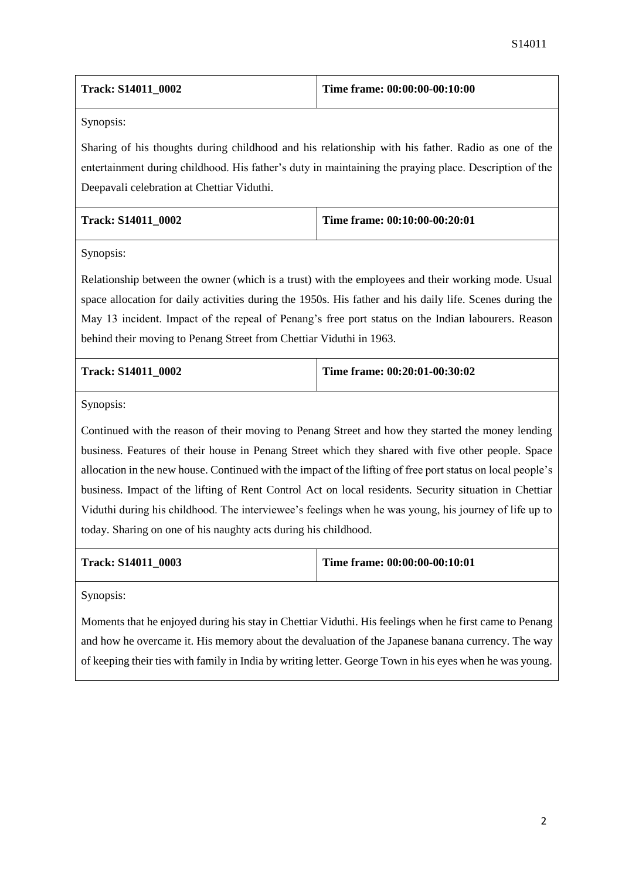| <b>Track: S14011 0002</b> | Time frame: $00:00:00-00:10:00$ |
|---------------------------|---------------------------------|
|                           |                                 |

Sharing of his thoughts during childhood and his relationship with his father. Radio as one of the entertainment during childhood. His father's duty in maintaining the praying place. Description of the Deepavali celebration at Chettiar Viduthi.

| <b>Track: S14011 0002</b> | Time frame: 00:10:00-00:20:01 |
|---------------------------|-------------------------------|
|                           |                               |

Synopsis:

Relationship between the owner (which is a trust) with the employees and their working mode. Usual space allocation for daily activities during the 1950s. His father and his daily life. Scenes during the May 13 incident. Impact of the repeal of Penang's free port status on the Indian labourers. Reason behind their moving to Penang Street from Chettiar Viduthi in 1963.

| <b>Track: S14011 0002</b> | Time frame: $00:20:01-00:30:02$ |
|---------------------------|---------------------------------|
|                           |                                 |

Synopsis:

Continued with the reason of their moving to Penang Street and how they started the money lending business. Features of their house in Penang Street which they shared with five other people. Space allocation in the new house. Continued with the impact of the lifting of free port status on local people's business. Impact of the lifting of Rent Control Act on local residents. Security situation in Chettiar Viduthi during his childhood. The interviewee's feelings when he was young, his journey of life up to today. Sharing on one of his naughty acts during his childhood.

| <b>Track: S14011 0003</b> | Time frame: 00:00:00-00:10:01 |
|---------------------------|-------------------------------|
|---------------------------|-------------------------------|

Synopsis:

Moments that he enjoyed during his stay in Chettiar Viduthi. His feelings when he first came to Penang and how he overcame it. His memory about the devaluation of the Japanese banana currency. The way of keeping their ties with family in India by writing letter. George Town in his eyes when he was young.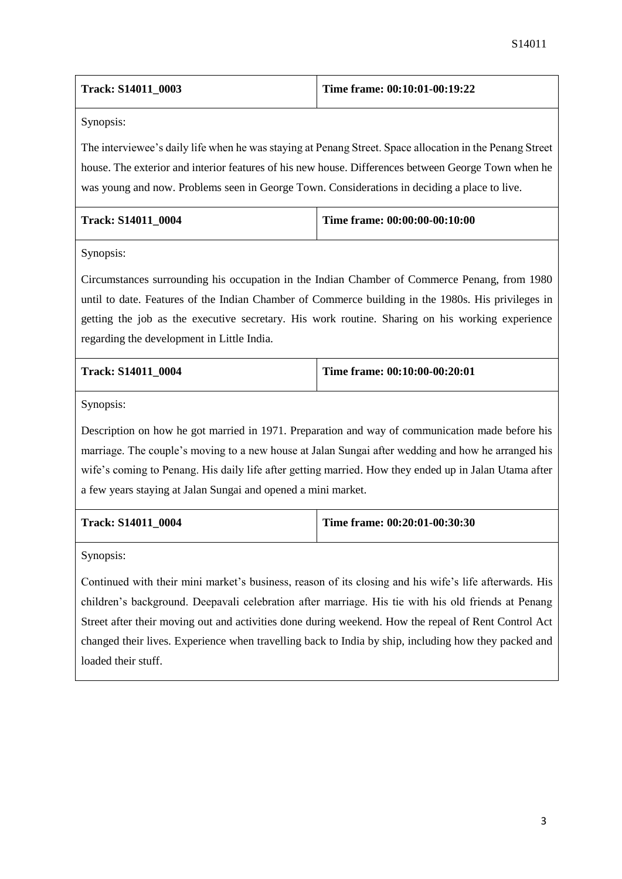| <b>Track: S14011 0003</b> | Time frame: $00:10:01-00:19:22$ |
|---------------------------|---------------------------------|
|---------------------------|---------------------------------|

The interviewee's daily life when he was staying at Penang Street. Space allocation in the Penang Street house. The exterior and interior features of his new house. Differences between George Town when he was young and now. Problems seen in George Town. Considerations in deciding a place to live.

| <b>Track: S14011 0004</b> | Time frame: 00:00:00-00:10:00 |
|---------------------------|-------------------------------|
|                           |                               |

Synopsis:

Circumstances surrounding his occupation in the Indian Chamber of Commerce Penang, from 1980 until to date. Features of the Indian Chamber of Commerce building in the 1980s. His privileges in getting the job as the executive secretary. His work routine. Sharing on his working experience regarding the development in Little India.

| <b>Track: S14011 0004</b> | Time frame: $00:10:00-00:20:01$ |
|---------------------------|---------------------------------|
|                           |                                 |

Synopsis:

Description on how he got married in 1971. Preparation and way of communication made before his marriage. The couple's moving to a new house at Jalan Sungai after wedding and how he arranged his wife's coming to Penang. His daily life after getting married. How they ended up in Jalan Utama after a few years staying at Jalan Sungai and opened a mini market.

| <b>Track: S14011 0004</b> | Time frame: $00:20:01-00:30:30$ |
|---------------------------|---------------------------------|
|                           |                                 |

Synopsis:

Continued with their mini market's business, reason of its closing and his wife's life afterwards. His children's background. Deepavali celebration after marriage. His tie with his old friends at Penang Street after their moving out and activities done during weekend. How the repeal of Rent Control Act changed their lives. Experience when travelling back to India by ship, including how they packed and loaded their stuff.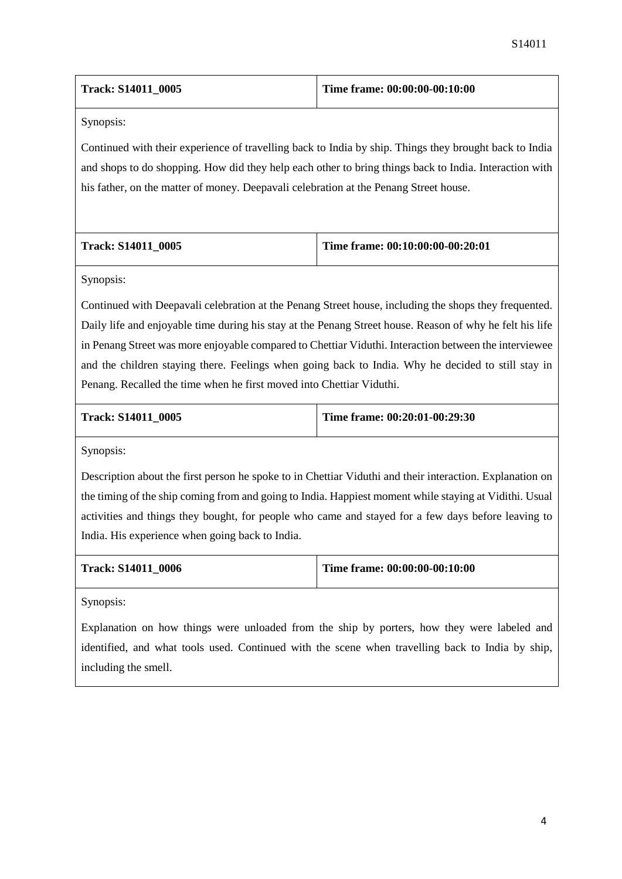| <b>Track: S14011 0005</b> | Time frame: 00:00:00-00:10:00 |
|---------------------------|-------------------------------|
|                           |                               |

Continued with their experience of travelling back to India by ship. Things they brought back to India and shops to do shopping. How did they help each other to bring things back to India. Interaction with his father, on the matter of money. Deepavali celebration at the Penang Street house.

| Track: S14011 0005 | Time frame: $00:10:00:00-00:20:01$ |
|--------------------|------------------------------------|
|                    |                                    |

Synopsis:

Continued with Deepavali celebration at the Penang Street house, including the shops they frequented. Daily life and enjoyable time during his stay at the Penang Street house. Reason of why he felt his life in Penang Street was more enjoyable compared to Chettiar Viduthi. Interaction between the interviewee and the children staying there. Feelings when going back to India. Why he decided to still stay in Penang. Recalled the time when he first moved into Chettiar Viduthi.

| <b>Track: S14011 0005</b> | Time frame: $00:20:01-00:29:30$ |
|---------------------------|---------------------------------|
|                           |                                 |

Synopsis:

Description about the first person he spoke to in Chettiar Viduthi and their interaction. Explanation on the timing of the ship coming from and going to India. Happiest moment while staying at Vidithi. Usual activities and things they bought, for people who came and stayed for a few days before leaving to India. His experience when going back to India.

| <b>Track: S14011 0006</b> | Time frame: $00:00:00-00:10:00$ |
|---------------------------|---------------------------------|
|                           |                                 |

Synopsis:

Explanation on how things were unloaded from the ship by porters, how they were labeled and identified, and what tools used. Continued with the scene when travelling back to India by ship, including the smell.